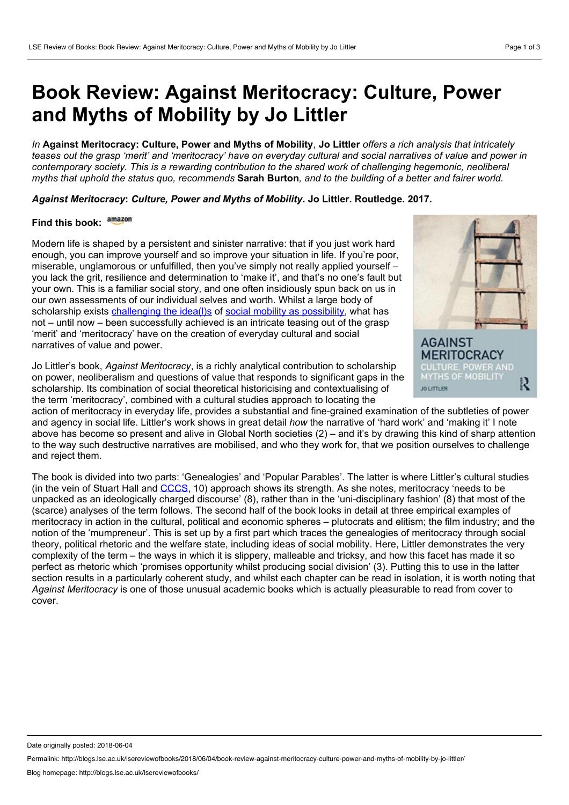## **Book Review: Against Meritocracy: Culture, Power and Myths of Mobility by Jo Littler**

In Against Meritocracy: Culture, Power and Myths of Mobility, Jo Littler offers a rich analysis that intricately teases out the grasp 'merit' and 'meritocracy' have on everyday cultural and social narratives of value and power in *contemporary society. This is a rewarding contribution to the shared work of challenging hegemonic, neoliberal* myths that uphold the status quo, recommends Sarah Burton, and to the building of a better and fairer world.

*Against Meritocracy***:** *Culture, Power and Myths of Mobility***. Jo Littler. Routledge. 2017.**

## **Find this book:**

Modern life is shaped by a persistent and sinister narrative: that if you just work hard enough, you can improve yourself and so improve your situation in life. If you're poor, miserable, unglamorous or unfulfilled, then you've simply not really applied yourself you lack the grit, resilience and determination to 'make it', and that's no one's fault but your own. This is a familiar social story, and one often insidiously spun back on us in our own assessments of our individual selves and worth. Whilst a large body of scholarship exists [challenging](https://discoversociety.org/2017/06/06/viewpoint-musical-chairs-and-the-social-mobility-industry/) the idea(l)s of social mobility as [possibility](https://www.tandfonline.com/doi/abs/10.1080/01425692.2013.816035), what has not – until now – been successfully achieved is an intricate teasing out of the grasp 'merit' and 'meritocracy' have on the creation of everyday cultural and social narratives of value and power.

Jo Littler's book, *Against Meritocracy*, is a richly analytical contribution to scholarship on power, neoliberalism and questions of value that responds to significant gaps in the scholarship. Its combination of social theoretical historicising and contextualising of the term 'meritocracy', combined with a cultural studies approach to locating the



action of meritocracy in everyday life, provides a substantial and fine-grained examination of the subtleties of power and agency in social life. Littler's work shows in great detail *how* the narrative of 'hard work' and 'making it' I note above has become so present and alive in Global North societies (2) – and it's by drawing this kind of sharp attention to the way such destructive narratives are mobilised, and who they work for, that we position ourselves to challenge and reject them.

The book is divided into two parts: 'Genealogies' and 'Popular Parables'. The latter is where Littler's cultural studies (in the vein of Stuart Hall and [CCCS,](https://www.birmingham.ac.uk/schools/historycultures/departments/history/research/projects/cccs/about.aspx) 10) approach shows its strength. As she notes, meritocracy 'needs to be unpacked as an ideologically charged discourse' (8), rather than in the 'uni-disciplinary fashion' (8) that most of the (scarce) analyses of the term follows. The second half of the book looks in detail at three empirical examples of meritocracy in action in the cultural, political and economic spheres – plutocrats and elitism; the film industry; and the notion of the 'mumpreneur'. This is setup by a first part which traces the genealogies of meritocracy through social theory, political rhetoric and the welfare state, including ideas of social mobility. Here, Littler demonstrates the very complexity of the term – the ways in which it is slippery, malleable and tricksy, and how this facet has made it so perfect as rhetoric which 'promises opportunity whilst producing social division' (3). Putting this to use in the latter section results in a particularly coherent study, and whilst each chapter can be read in isolation, it is worth noting that *Against Meritocracy* is one of those unusual academic books which is actually pleasurable to read from cover to cover.

Date originally posted: 2018-06-04

Permalink: http://blogs.lse.ac.uk/lsereviewofbooks/2018/06/04/book-review-against-meritocracy-culture-power-and-myths-of-mobility-by-jo-littler/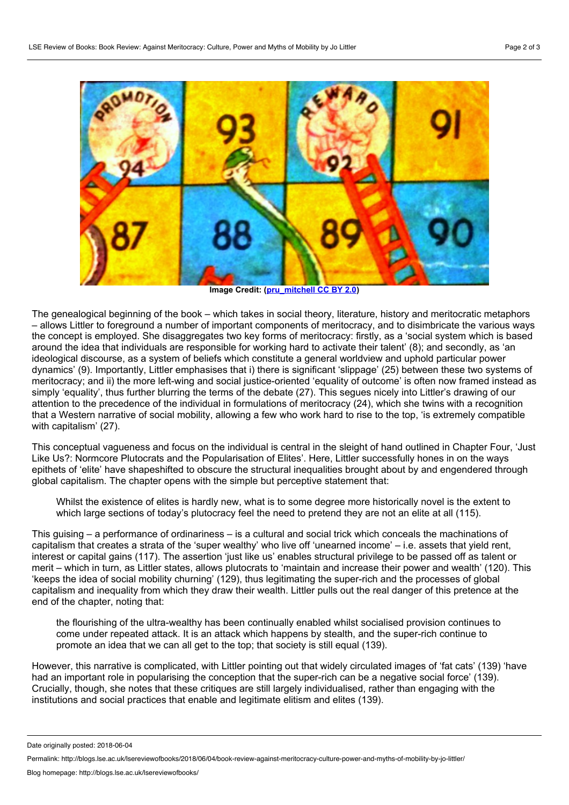

**Image Credit: ([pru\\_mitchell](https://www.flickr.com/photos/pru/33604517410/) CC BY 2.0)**

The genealogical beginning of the book – which takes in social theory, literature, history and meritocratic metaphors – allows Littler to foreground a number of important components of meritocracy, and to disimbricate the various ways the concept is employed. She disaggregates two key forms of meritocracy: firstly, as a 'social system which is based around the idea that individuals are responsible for working hard to activate their talent' (8); and secondly, as 'an ideological discourse, as a system of beliefs which constitute a general worldview and uphold particular power dynamics' (9). Importantly, Littler emphasises that i) there is significant 'slippage' (25) between these two systems of meritocracy; and ii) the more left-wing and social justice-oriented 'equality of outcome' is often now framed instead as simply 'equality', thus further blurring the terms of the debate (27). This segues nicely into Littler's drawing of our attention to the precedence of the individual in formulations of meritocracy (24), which she twins with a recognition that a Western narrative of social mobility, allowing a few who work hard to rise to the top, 'is extremely compatible with capitalism' (27).

This conceptual vagueness and focus on the individual is central in the sleight of hand outlined in Chapter Four, 'Just Like Us?: Normcore Plutocrats and the Popularisation of Elites'. Here, Littler successfully hones in on the ways epithets of 'elite' have shapeshifted to obscure the structural inequalities brought about by and engendered through global capitalism. The chapter opens with the simple but perceptive statement that:

Whilst the existence of elites is hardly new, what is to some degree more historically novel is the extent to which large sections of today's plutocracy feel the need to pretend they are not an elite at all (115).

This guising – a performance of ordinariness – is a cultural and social trick which conceals the machinations of capitalism that creates a strata of the 'super wealthy' who live off 'unearned income' – i.e. assets that yield rent, interest or capital gains (117). The assertion 'just like us' enables structural privilege to be passed off as talent or merit – which in turn, as Littler states, allows plutocrats to 'maintain and increase their power and wealth' (120). This 'keeps the idea of social mobility churning' (129), thus legitimating the super-rich and the processes of global capitalism and inequality from which they draw their wealth. Littler pulls out the real danger of this pretence at the end of the chapter, noting that:

the flourishing of the ultra-wealthy has been continually enabled whilst socialised provision continues to come under repeated attack. It is an attack which happens by stealth, and the super-rich continue to promote an idea that we can all get to the top; that society is still equal (139).

However, this narrative is complicated, with Littler pointing out that widely circulated images of 'fat cats' (139) 'have had an important role in popularising the conception that the super-rich can be a negative social force' (139). Crucially, though, she notes that these critiques are still largely individualised, rather than engaging with the institutions and social practices that enable and legitimate elitism and elites (139).

Date originally posted: 2018-06-04

Permalink: http://blogs.lse.ac.uk/lsereviewofbooks/2018/06/04/book-review-against-meritocracy-culture-power-and-myths-of-mobility-by-jo-littler/